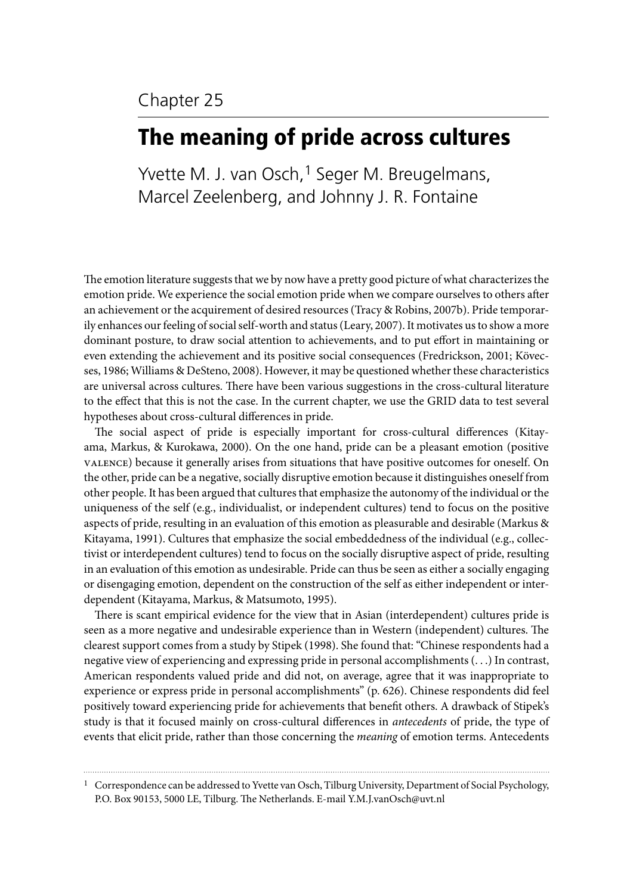# The meaning of pride across cultures

Yvette M. J. van Osch,<sup>1</sup> Seger M. Breugelmans, Marcel Zeelenberg, and Johnny J. R. Fontaine

The emotion literature suggests that we by now have a pretty good picture of what characterizes the emotion pride. We experience the social emotion pride when we compare ourselves to others after an achievement or the acquirement of desired resources (Tracy & Robins, 2007b). Pride temporarily enhances our feeling of social self-worth and status ( Leary, 2007 ). It motivates us to show a more dominant posture, to draw social attention to achievements, and to put effort in maintaining or even extending the achievement and its positive social consequences (Fredrickson, 2001; Kövecses, 1986; Williams & DeSteno, 2008). However, it may be questioned whether these characteristics are universal across cultures. There have been various suggestions in the cross-cultural literature to the effect that this is not the case. In the current chapter, we use the GRID data to test several hypotheses about cross-cultural differences in pride.

The social aspect of pride is especially important for cross-cultural differences (Kitayama, Markus, & Kurokawa, 2000). On the one hand, pride can be a pleasant emotion (positive valence ) because it generally arises from situations that have positive outcomes for oneself. On the other, pride can be a negative, socially disruptive emotion because it distinguishes oneself from other people. It has been argued that cultures that emphasize the autonomy of the individual or the uniqueness of the self (e.g., individualist, or independent cultures) tend to focus on the positive aspects of pride, resulting in an evaluation of this emotion as pleasurable and desirable ( Markus & Kitayama, 1991). Cultures that emphasize the social embeddedness of the individual (e.g., collectivist or interdependent cultures) tend to focus on the socially disruptive aspect of pride, resulting in an evaluation of this emotion as undesirable. Pride can thus be seen as either a socially engaging or disengaging emotion, dependent on the construction of the self as either independent or interdependent (Kitayama, Markus, & Matsumoto, 1995).

There is scant empirical evidence for the view that in Asian (interdependent) cultures pride is seen as a more negative and undesirable experience than in Western (independent) cultures. The clearest support comes from a study by Stipek (1998). She found that: "Chinese respondents had a negative view of experiencing and expressing pride in personal accomplishments (. . .) In contrast, American respondents valued pride and did not, on average, agree that it was inappropriate to experience or express pride in personal accomplishments" (p. 626). Chinese respondents did feel positively toward experiencing pride for achievements that benefit others. A drawback of Stipek's study is that it focused mainly on cross-cultural differences in *antecedents* of pride, the type of events that elicit pride, rather than those concerning the *meaning* of emotion terms. Antecedents

<sup>1</sup> Correspondence can be addressed to Yvette van Osch, Tilburg University, Department of Social Psychology, P.O. Box 90153, 5000 LE, Tilburg. The Netherlands. E-mail Y.M.J.vanOsch@uvt.nl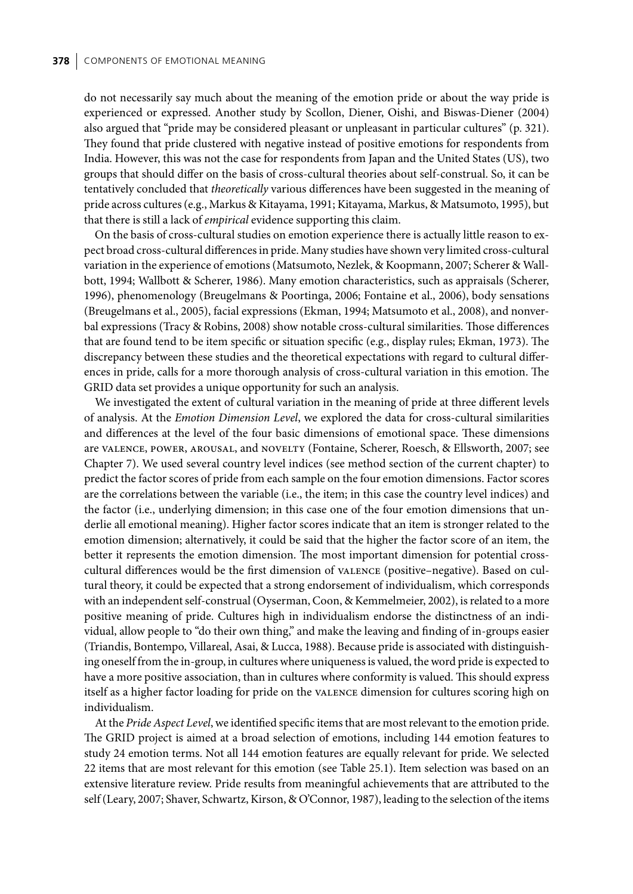do not necessarily say much about the meaning of the emotion pride or about the way pride is experienced or expressed. Another study by Scollon, Diener, Oishi, and Biswas-Diener (2004) also argued that "pride may be considered pleasant or unpleasant in particular cultures" (p. 321). They found that pride clustered with negative instead of positive emotions for respondents from India. However, this was not the case for respondents from Japan and the United States (US), two groups that should differ on the basis of cross-cultural theories about self-construal. So, it can be tentatively concluded that *theoretically* various differences have been suggested in the meaning of pride across cultures (e.g., Markus & Kitayama, 1991 ; Kitayama, Markus, & Matsumoto, 1995 ), but that there is still a lack of *empirical* evidence supporting this claim.

 On the basis of cross-cultural studies on emotion experience there is actually little reason to expect broad cross-cultural differences in pride. Many studies have shown very limited cross-cultural variation in the experience of emotions (Matsumoto, Nezlek, & Koopmann, 2007; Scherer & Wallbott, 1994; Wallbott & Scherer, 1986). Many emotion characteristics, such as appraisals (Scherer, 1996), phenomenology (Breugelmans & Poortinga, 2006; Fontaine et al., 2006), body sensations (Breugelmans et al., 2005), facial expressions (Ekman, 1994; Matsumoto et al., 2008), and nonverbal expressions (Tracy & Robins, 2008) show notable cross-cultural similarities. Those differences that are found tend to be item specific or situation specific (e.g., display rules; Ekman, 1973). The discrepancy between these studies and the theoretical expectations with regard to cultural differences in pride, calls for a more thorough analysis of cross-cultural variation in this emotion. The GRID data set provides a unique opportunity for such an analysis.

We investigated the extent of cultural variation in the meaning of pride at three different levels of analysis. At the *Emotion Dimension Level* , we explored the data for cross-cultural similarities and differences at the level of the four basic dimensions of emotional space. These dimensions are VALENCE, POWER, AROUSAL, and NOVELTY (Fontaine, Scherer, Roesch, & Ellsworth, 2007; see Chapter 7). We used several country level indices (see method section of the current chapter) to predict the factor scores of pride from each sample on the four emotion dimensions. Factor scores are the correlations between the variable (i.e., the item; in this case the country level indices) and the factor (i.e., underlying dimension; in this case one of the four emotion dimensions that underlie all emotional meaning). Higher factor scores indicate that an item is stronger related to the emotion dimension; alternatively, it could be said that the higher the factor score of an item, the better it represents the emotion dimension. The most important dimension for potential crosscultural differences would be the first dimension of valence (positive–negative). Based on cultural theory, it could be expected that a strong endorsement of individualism, which corresponds with an independent self-construal ( Oyserman, Coon, & Kemmelmeier, 2002 ), is related to a more positive meaning of pride. Cultures high in individualism endorse the distinctness of an individual, allow people to "do their own thing," and make the leaving and finding of in-groups easier ( Triandis, Bontempo, Villareal, Asai, & Lucca, 1988 ). Because pride is associated with distinguishing oneself from the in-group, in cultures where uniqueness is valued, the word pride is expected to have a more positive association, than in cultures where conformity is valued. This should express itself as a higher factor loading for pride on the valence dimension for cultures scoring high on individualism.

At the *Pride Aspect Level*, we identified specific items that are most relevant to the emotion pride. The GRID project is aimed at a broad selection of emotions, including 144 emotion features to study 24 emotion terms. Not all 144 emotion features are equally relevant for pride. We selected 22 items that are most relevant for this emotion (see Table 25.1 ). Item selection was based on an extensive literature review. Pride results from meaningful achievements that are attributed to the self (Leary, 2007; Shaver, Schwartz, Kirson, & O'Connor, 1987), leading to the selection of the items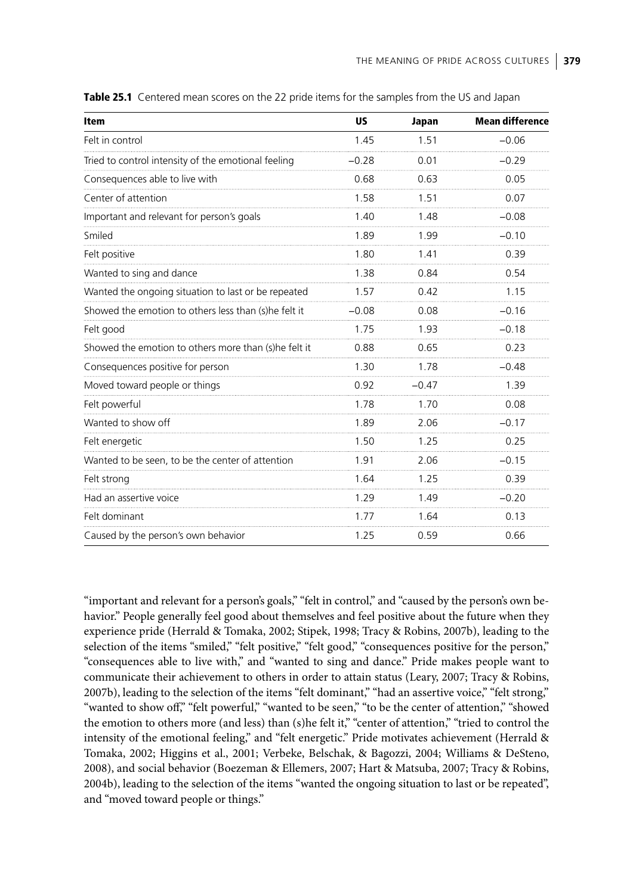| <b>Item</b>                                          | <b>US</b> | Japan   | <b>Mean difference</b> |
|------------------------------------------------------|-----------|---------|------------------------|
| Felt in control                                      | 1.45      | 1.51    | $-0.06$                |
| Tried to control intensity of the emotional feeling  | $-0.28$   | 0.01    | $-0.29$                |
| Consequences able to live with                       | 0.68      | 0.63    | 0.05                   |
| Center of attention                                  | 1.58      | 1.51    | 0.07                   |
| Important and relevant for person's goals            | 1.40      | 1.48    | $-0.08$                |
| Smiled                                               | 1.89      | 1.99    | $-0.10$                |
| Felt positive                                        | 1.80      | 1.41    | 0.39                   |
| Wanted to sing and dance                             | 1.38      | 0.84    | 0.54                   |
| Wanted the ongoing situation to last or be repeated  | 1.57      | 0.42    | 1.15                   |
| Showed the emotion to others less than (s)he felt it | $-0.08$   | 0.08    | $-0.16$                |
| Felt good                                            | 1.75      | 1.93    | $-0.18$                |
| Showed the emotion to others more than (s)he felt it | 0.88      | 0.65    | 0.23                   |
| Consequences positive for person                     | 1.30      | 1.78    | $-0.48$                |
| Moved toward people or things                        | 0.92      | $-0.47$ | 1.39                   |
| Felt powerful                                        | 1.78      | 1.70    | 0.08                   |
| Wanted to show off                                   | 1.89      | 2.06    | $-0.17$                |
| Felt energetic                                       | 1.50      | 1.25    | 0.25                   |
| Wanted to be seen, to be the center of attention     | 1.91      | 2.06    | $-0.15$                |
| Felt strong                                          | 1.64      | 1.25    | 0.39                   |
| Had an assertive voice                               | 1.29      | 1.49    | $-0.20$                |
| Felt dominant                                        | 1.77      | 1.64    | 0.13                   |
| Caused by the person's own behavior                  | 1.25      | 0.59    | 0.66                   |

Table 25.1 Centered mean scores on the 22 pride items for the samples from the US and Japan

"important and relevant for a person's goals," "felt in control," and "caused by the person's own behavior." People generally feel good about themselves and feel positive about the future when they experience pride (Herrald & Tomaka, 2002; Stipek, 1998; Tracy & Robins, 2007b), leading to the selection of the items "smiled," "felt positive," "felt good," "consequences positive for the person," "consequences able to live with," and "wanted to sing and dance." Pride makes people want to communicate their achievement to others in order to attain status (Leary, 2007; Tracy & Robins, 2007b), leading to the selection of the items "felt dominant," "had an assertive voice," "felt strong," "wanted to show off," "felt powerful," "wanted to be seen," "to be the center of attention," "showed the emotion to others more (and less) than (s)he felt it," "center of attention," "tried to control the intensity of the emotional feeling," and "felt energetic." Pride motivates achievement ( Herrald & Tomaka, 2002; Higgins et al., 2001; Verbeke, Belschak, & Bagozzi, 2004; Williams & DeSteno, 2008), and social behavior (Boezeman & Ellemers, 2007; Hart & Matsuba, 2007; Tracy & Robins, 2004b), leading to the selection of the items "wanted the ongoing situation to last or be repeated", and "moved toward people or things."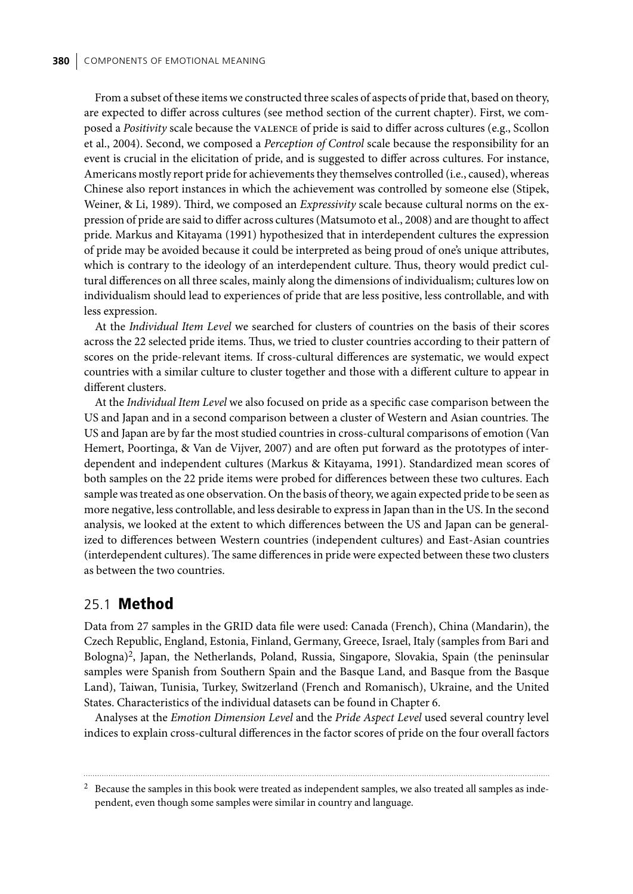From a subset of these items we constructed three scales of aspects of pride that, based on theory, are expected to differ across cultures (see method section of the current chapter). First, we composed a *Positivity* scale because the VALENCE of pride is said to differ across cultures (e.g., Scollon et al., 2004 ). Second, we composed a *Perception of Control* scale because the responsibility for an event is crucial in the elicitation of pride, and is suggested to differ across cultures. For instance, Americans mostly report pride for achievements they themselves controlled (i.e., caused), whereas Chinese also report instances in which the achievement was controlled by someone else ( Stipek, Weiner, & Li, 1989). Third, we composed an *Expressivity* scale because cultural norms on the expression of pride are said to differ across cultures (Matsumoto et al., 2008) and are thought to affect pride. Markus and Kitayama ( 1991 ) hypothesized that in interdependent cultures the expression of pride may be avoided because it could be interpreted as being proud of one's unique attributes, which is contrary to the ideology of an interdependent culture. Thus, theory would predict cultural differences on all three scales, mainly along the dimensions of individualism; cultures low on individualism should lead to experiences of pride that are less positive, less controllable, and with less expression.

 At the *Individual Item Level* we searched for clusters of countries on the basis of their scores across the 22 selected pride items. Thus, we tried to cluster countries according to their pattern of scores on the pride-relevant items. If cross-cultural differences are systematic, we would expect countries with a similar culture to cluster together and those with a different culture to appear in different clusters.

At the *Individual Item Level* we also focused on pride as a specific case comparison between the US and Japan and in a second comparison between a cluster of Western and Asian countries. The US and Japan are by far the most studied countries in cross-cultural comparisons of emotion ( Van Hemert, Poortinga, & Van de Vijver, 2007) and are often put forward as the prototypes of interdependent and independent cultures (Markus & Kitayama, 1991). Standardized mean scores of both samples on the 22 pride items were probed for differences between these two cultures. Each sample was treated as one observation. On the basis of theory, we again expected pride to be seen as more negative, less controllable, and less desirable to express in Japan than in the US. In the second analysis, we looked at the extent to which differences between the US and Japan can be generalized to differences between Western countries (independent cultures) and East-Asian countries (interdependent cultures). The same differences in pride were expected between these two clusters as between the two countries.

# 25.1 Method

Data from 27 samples in the GRID data file were used: Canada (French), China (Mandarin), the Czech Republic, England, Estonia, Finland, Germany, Greece, Israel, Italy (samples from Bari and Bologna)<sup>2</sup>, Japan, the Netherlands, Poland, Russia, Singapore, Slovakia, Spain (the peninsular samples were Spanish from Southern Spain and the Basque Land, and Basque from the Basque Land), Taiwan, Tunisia, Turkey, Switzerland (French and Romanisch), Ukraine, and the United States. Characteristics of the individual datasets can be found in Chapter 6.

 Analyses at the *Emotion Dimension Level* and the *Pride Aspect Level* used several country level indices to explain cross-cultural differences in the factor scores of pride on the four overall factors

<sup>&</sup>lt;sup>2</sup> Because the samples in this book were treated as independent samples, we also treated all samples as independent, even though some samples were similar in country and language.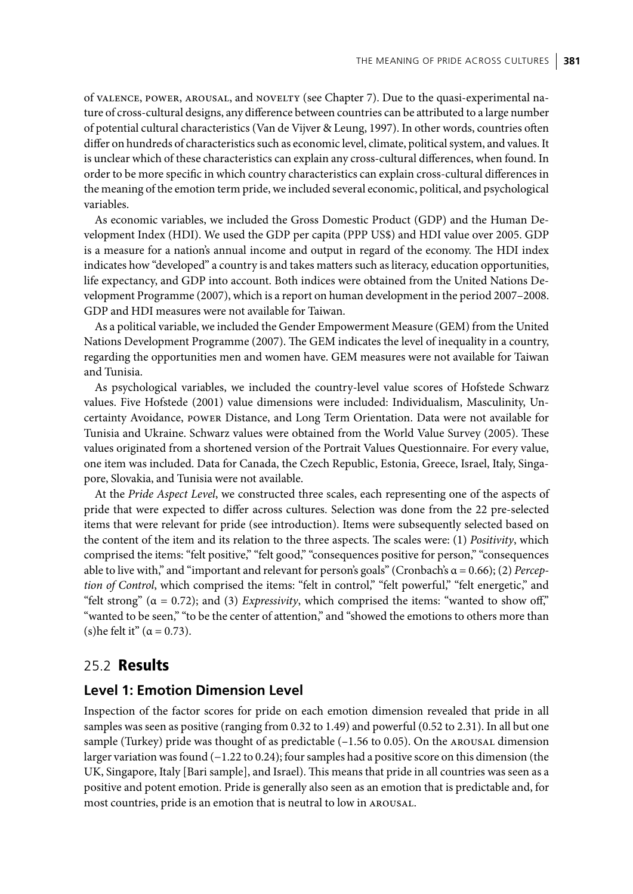of valence, power, arousal, and novelty (see Chapter 7). Due to the quasi-experimental nature of cross-cultural designs, any difference between countries can be attributed to a large number of potential cultural characteristics (Van de Vijver & Leung, 1997). In other words, countries often differ on hundreds of characteristics such as economic level, climate, political system, and values. It is unclear which of these characteristics can explain any cross-cultural differences, when found. In order to be more specific in which country characteristics can explain cross-cultural differences in the meaning of the emotion term pride, we included several economic, political, and psychological variables.

 As economic variables, we included the Gross Domestic Product (GDP) and the Human Development Index (HDI). We used the GDP per capita (PPP US\$) and HDI value over 2005. GDP is a measure for a nation's annual income and output in regard of the economy. The HDI index indicates how "developed" a country is and takes matters such as literacy, education opportunities, life expectancy, and GDP into account. Both indices were obtained from the United Nations Development Programme (2007), which is a report on human development in the period 2007–2008. GDP and HDI measures were not available for Taiwan.

 As a political variable, we included the Gender Empowerment Measure (GEM) from the United Nations Development Programme (2007). The GEM indicates the level of inequality in a country, regarding the opportunities men and women have. GEM measures were not available for Taiwan and Tunisia.

 As psychological variables, we included the country-level value scores of Hofstede Schwarz values. Five Hofstede (2001) value dimensions were included: Individualism, Masculinity, Uncertainty Avoidance, power Distance, and Long Term Orientation. Data were not available for Tunisia and Ukraine. Schwarz values were obtained from the World Value Survey (2005). These values originated from a shortened version of the Portrait Values Questionnaire. For every value, one item was included. Data for Canada, the Czech Republic, Estonia, Greece, Israel, Italy, Singapore, Slovakia, and Tunisia were not available.

 At the *Pride Aspect Level* , we constructed three scales, each representing one of the aspects of pride that were expected to differ across cultures. Selection was done from the 22 pre-selected items that were relevant for pride (see introduction). Items were subsequently selected based on the content of the item and its relation to the three aspects. The scales were: (1) *Positivity*, which comprised the items: "felt positive," "felt good," "consequences positive for person," "consequences able to live with," and "important and relevant for person's goals" (Cronbach's α = 0.66); (2) *Perception of Control* , which comprised the items: "felt in control," "felt powerful," "felt energetic," and "felt strong"  $(\alpha = 0.72)$ ; and (3) *Expressivity*, which comprised the items: "wanted to show off," "wanted to be seen," "to be the center of attention," and "showed the emotions to others more than (s) he felt it"  $(\alpha = 0.73)$ .

## 25.2 Results

#### **Level 1: Emotion Dimension Level**

 Inspection of the factor scores for pride on each emotion dimension revealed that pride in all samples was seen as positive (ranging from 0.32 to 1.49) and powerful (0.52 to 2.31). In all but one sample (Turkey) pride was thought of as predictable  $(-1.56 \text{ to } 0.05)$ . On the AROUSAL dimension larger variation was found (−1.22 to 0.24); four samples had a positive score on this dimension (the UK, Singapore, Italy [Bari sample], and Israel). This means that pride in all countries was seen as a positive and potent emotion. Pride is generally also seen as an emotion that is predictable and, for most countries, pride is an emotion that is neutral to low in AROUSAL.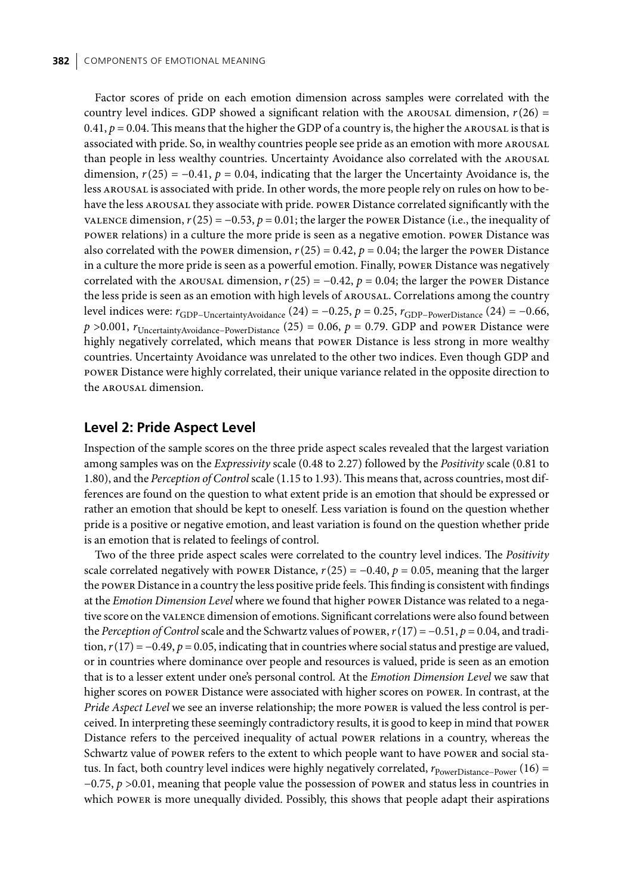Factor scores of pride on each emotion dimension across samples were correlated with the country level indices. GDP showed a significant relation with the AROUSAL dimension,  $r(26)$  =  $0.41, p = 0.04$ . This means that the higher the GDP of a country is, the higher the AROUSAL is that is associated with pride. So, in wealthy countries people see pride as an emotion with more AROUSAL than people in less wealthy countries. Uncertainty Avoidance also correlated with the arousal dimension,  $r(25) = -0.41$ ,  $p = 0.04$ , indicating that the larger the Uncertainty Avoidance is, the less AROUSAL is associated with pride. In other words, the more people rely on rules on how to behave the less AROUSAL they associate with pride. POWER Distance correlated significantly with the valence dimension,  $r(25) = -0.53$ ,  $p = 0.01$ ; the larger the power Distance (i.e., the inequality of power relations) in a culture the more pride is seen as a negative emotion. power Distance was also correlated with the power dimension,  $r(25) = 0.42$ ,  $p = 0.04$ ; the larger the power Distance in a culture the more pride is seen as a powerful emotion. Finally, power Distance was negatively correlated with the AROUSAL dimension,  $r(25) = -0.42$ ,  $p = 0.04$ ; the larger the power Distance the less pride is seen as an emotion with high levels of AROUSAL. Correlations among the country level indices were:  $r_{GDP-UncertaintyAvoidance}$  (24) = -0.25,  $p = 0.25$ ,  $r_{GDP-PowerDistance}$  (24) = -0.66, *p* >0.001, *r*<sub>UncertaintyAvoidance–PowerDistance</sub> (25) = 0.06, *p* = 0.79. GDP and POWER Distance were highly negatively correlated, which means that power Distance is less strong in more wealthy countries. Uncertainty Avoidance was unrelated to the other two indices. Even though GDP and power Distance were highly correlated, their unique variance related in the opposite direction to the arousal dimension.

## **Level 2: Pride Aspect Level**

 Inspection of the sample scores on the three pride aspect scales revealed that the largest variation among samples was on the *Expressivity* scale (0.48 to 2.27) followed by the *Positivity* scale (0.81 to 1.80), and the *Perception of Control* scale (1.15 to 1.93). ! is means that, across countries, most differences are found on the question to what extent pride is an emotion that should be expressed or rather an emotion that should be kept to oneself. Less variation is found on the question whether pride is a positive or negative emotion, and least variation is found on the question whether pride is an emotion that is related to feelings of control.

Two of the three pride aspect scales were correlated to the country level indices. The *Positivity* scale correlated negatively with power Distance,  $r(25) = -0.40$ ,  $p = 0.05$ , meaning that the larger the power Distance in a country the less positive pride feels. This finding is consistent with findings at the *Emotion Dimension Level* where we found that higher power Distance was related to a negative score on the valence dimension of emotions. Significant correlations were also found between the *Perception* of *Control* scale and the Schwartz values of power,  $r(17) = -0.51$ ,  $p = 0.04$ , and tradition,  $r(17) = -0.49$ ,  $p = 0.05$ , indicating that in countries where social status and prestige are valued, or in countries where dominance over people and resources is valued, pride is seen as an emotion that is to a lesser extent under one's personal control. At the *Emotion Dimension Level* we saw that higher scores on POWER Distance were associated with higher scores on POWER. In contrast, at the *Pride Aspect Level* we see an inverse relationship; the more power is valued the less control is perceived. In interpreting these seemingly contradictory results, it is good to keep in mind that power Distance refers to the perceived inequality of actual power relations in a country, whereas the Schwartz value of power refers to the extent to which people want to have power and social status. In fact, both country level indices were highly negatively correlated,  $r_{\text{PowerDistance-Power}}(16) =$ −0.75, *p* >0.01, meaning that people value the possession of power and status less in countries in which power is more unequally divided. Possibly, this shows that people adapt their aspirations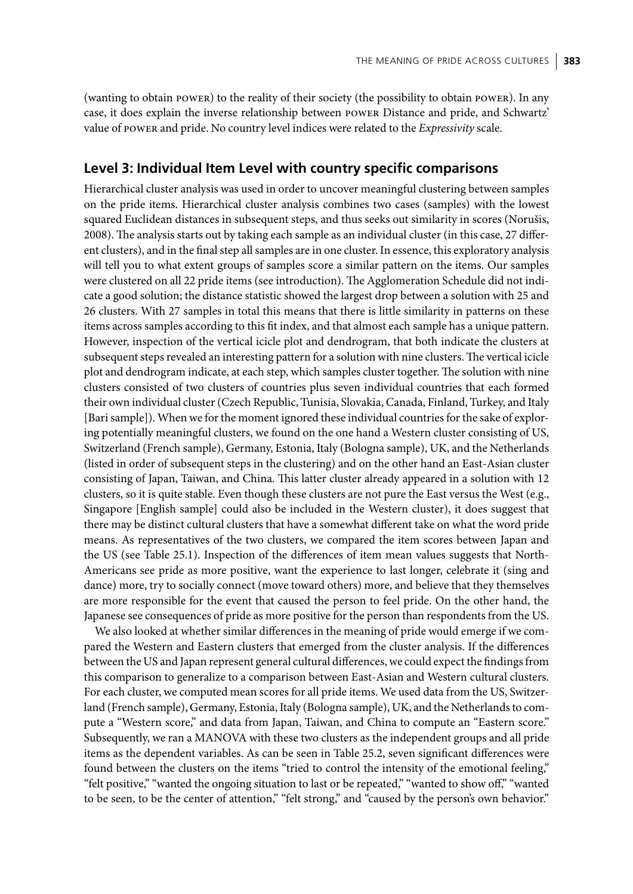(wanting to obtain power) to the reality of their society (the possibility to obtain power). In any case, it does explain the inverse relationship between power Distance and pride, and Schwartz' value of power and pride. No country level indices were related to the *Expressivity* scale.

### Level 3: Individual Item Level with country specific comparisons

 Hierarchical cluster analysis was used in order to uncover meaningful clustering between samples on the pride items. Hierarchical cluster analysis combines two cases (samples) with the lowest squared Euclidean distances in subsequent steps, and thus seeks out similarity in scores ( Norušis, 2008). The analysis starts out by taking each sample as an individual cluster (in this case, 27 different clusters), and in the final step all samples are in one cluster. In essence, this exploratory analysis will tell you to what extent groups of samples score a similar pattern on the items. Our samples were clustered on all 22 pride items (see introduction). The Agglomeration Schedule did not indicate a good solution; the distance statistic showed the largest drop between a solution with 25 and 26 clusters. With 27 samples in total this means that there is little similarity in patterns on these items across samples according to this fit index, and that almost each sample has a unique pattern. However, inspection of the vertical icicle plot and dendrogram, that both indicate the clusters at subsequent steps revealed an interesting pattern for a solution with nine clusters. The vertical icicle plot and dendrogram indicate, at each step, which samples cluster together. The solution with nine clusters consisted of two clusters of countries plus seven individual countries that each formed their own individual cluster (Czech Republic, Tunisia, Slovakia, Canada, Finland, Turkey, and Italy [Bari sample]). When we for the moment ignored these individual countries for the sake of exploring potentially meaningful clusters, we found on the one hand a Western cluster consisting of US, Switzerland (French sample), Germany, Estonia, Italy (Bologna sample), UK, and the Netherlands (listed in order of subsequent steps in the clustering) and on the other hand an East-Asian cluster consisting of Japan, Taiwan, and China. This latter cluster already appeared in a solution with 12 clusters, so it is quite stable. Even though these clusters are not pure the East versus the West (e.g., Singapore [English sample] could also be included in the Western cluster), it does suggest that there may be distinct cultural clusters that have a somewhat different take on what the word pride means. As representatives of the two clusters, we compared the item scores between Japan and the US (see Table 25.1). Inspection of the differences of item mean values suggests that North-Americans see pride as more positive, want the experience to last longer, celebrate it (sing and dance) more, try to socially connect (move toward others) more, and believe that they themselves are more responsible for the event that caused the person to feel pride. On the other hand, the Japanese see consequences of pride as more positive for the person than respondents from the US.

We also looked at whether similar differences in the meaning of pride would emerge if we compared the Western and Eastern clusters that emerged from the cluster analysis. If the differences between the US and Japan represent general cultural differences, we could expect the findings from this comparison to generalize to a comparison between East-Asian and Western cultural clusters. For each cluster, we computed mean scores for all pride items. We used data from the US, Switzerland (French sample), Germany, Estonia, Italy (Bologna sample), UK, and the Netherlands to compute a "Western score," and data from Japan, Taiwan, and China to compute an "Eastern score." Subsequently, we ran a MANOVA with these two clusters as the independent groups and all pride items as the dependent variables. As can be seen in Table 25.2, seven significant differences were found between the clusters on the items "tried to control the intensity of the emotional feeling," "felt positive," "wanted the ongoing situation to last or be repeated," "wanted to show off," "wanted to be seen, to be the center of attention," "felt strong," and "caused by the person's own behavior."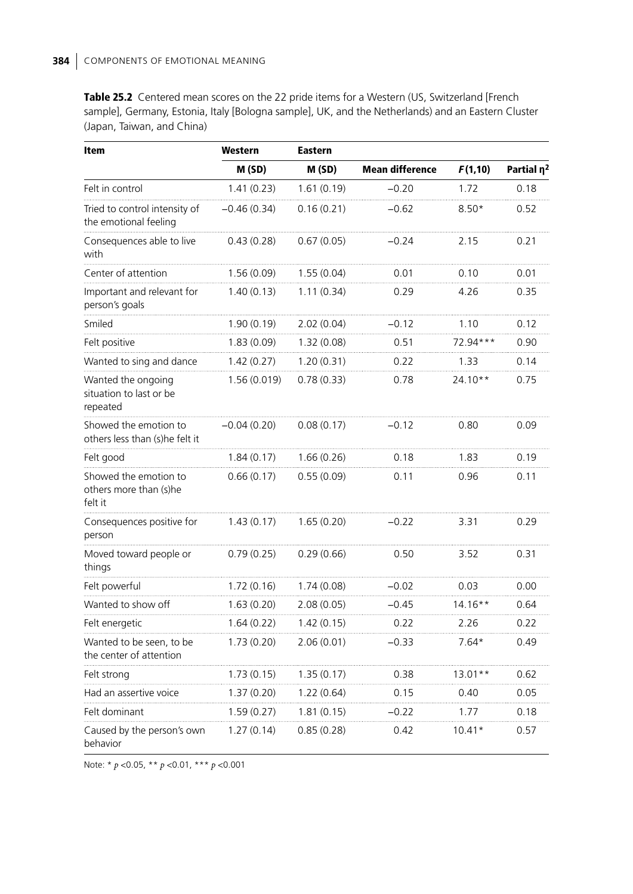Table 25.2 Centered mean scores on the 22 pride items for a Western (US, Switzerland [French sample], Germany, Estonia, Italy [Bologna sample], UK, and the Netherlands) and an Eastern Cluster (Japan, Taiwan, and China)

| Item                                                       | Western       | <b>Eastern</b> |                        |           |                  |
|------------------------------------------------------------|---------------|----------------|------------------------|-----------|------------------|
|                                                            | M(SD)         | M(SD)          | <b>Mean difference</b> | F(1,10)   | Partial $\eta^2$ |
| Felt in control                                            | 1.41(0.23)    | 1.61(0.19)     | $-0.20$                | 1.72      | 0.18             |
| Tried to control intensity of<br>the emotional feeling     | $-0.46(0.34)$ | 0.16(0.21)     | $-0.62$                | $8.50*$   | 0.52             |
| Consequences able to live<br>with                          | 0.43(0.28)    | 0.67(0.05)     | $-0.24$                | 2.15      | 0.21             |
| Center of attention                                        | 1.56(0.09)    | 1.55(0.04)     | 0.01                   | 0.10      | 0.01             |
| Important and relevant for<br>person's goals               | 1.40(0.13)    | 1.11(0.34)     | 0.29                   | 4.26      | 0.35             |
| Smiled                                                     | 1.90(0.19)    | 2.02(0.04)     | $-0.12$                | 1.10      | 0.12             |
| Felt positive                                              | 1.83(0.09)    | 1.32(0.08)     | 0.51                   | 72.94***  | 0.90             |
| Wanted to sing and dance                                   | 1.42(0.27)    | 1.20(0.31)     | 0.22                   | 1.33      | 0.14             |
| Wanted the ongoing<br>situation to last or be<br>repeated  | 1.56(0.019)   | 0.78(0.33)     | 0.78                   | 24.10**   | 0.75             |
| Showed the emotion to<br>others less than (s)he felt it    | $-0.04(0.20)$ | 0.08(0.17)     | $-0.12$                | 0.80      | 0.09             |
| Felt good                                                  | 1.84(0.17)    | 1.66(0.26)     | 0.18                   | 1.83      | 0.19             |
| Showed the emotion to<br>others more than (s)he<br>felt it | 0.66(0.17)    | 0.55(0.09)     | 0.11                   | 0.96      | 0.11             |
| Consequences positive for<br>person                        | 1.43(0.17)    | 1.65(0.20)     | $-0.22$                | 3.31      | 0.29             |
| Moved toward people or<br>things                           | 0.79(0.25)    | 0.29(0.66)     | 0.50                   | 3.52      | 0.31             |
| Felt powerful                                              | 1.72(0.16)    | 1.74(0.08)     | –0.02                  | 0.03      | 0.00             |
| Wanted to show off                                         | 1.63(0.20)    | 2.08(0.05)     | –0.45                  | $14.16**$ | 0.64             |
| Felt energetic                                             | 1.64(0.22)    | 1.42(0.15)     | 0.22                   | 2.26      | 0.22             |
| Wanted to be seen, to be<br>the center of attention        | 1.73(0.20)    | 2.06(0.01)     | $-0.33$                | $7.64*$   | 0.49             |
| Felt strong                                                | 1.73(0.15)    | 1.35(0.17)     | 0.38                   | 13.01**   | 0.62             |
| Had an assertive voice                                     | 1.37(0.20)    | 1.22(0.64)     | 0.15                   | 0.40      | 0.05             |
| Felt dominant                                              | 1.59(0.27)    | 1.81(0.15)     | –0.22                  | 1.77      | 0.18             |
| Caused by the person's own<br>behavior                     | 1.27(0.14)    | 0.85(0.28)     | 0.42                   | 10.41*    | 0.57             |

Note: \* *p* <0.05, \*\* *p* <0.01, \*\*\* *p* <0.001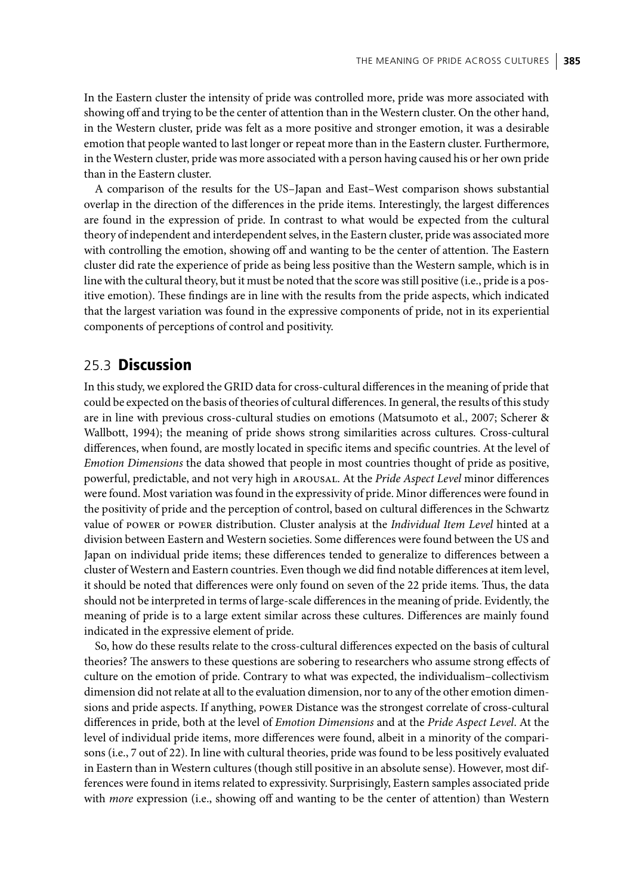In the Eastern cluster the intensity of pride was controlled more, pride was more associated with showing off and trying to be the center of attention than in the Western cluster. On the other hand, in the Western cluster, pride was felt as a more positive and stronger emotion, it was a desirable emotion that people wanted to last longer or repeat more than in the Eastern cluster. Furthermore, in the Western cluster, pride was more associated with a person having caused his or her own pride than in the Eastern cluster.

 A comparison of the results for the US–Japan and East–West comparison shows substantial overlap in the direction of the differences in the pride items. Interestingly, the largest differences are found in the expression of pride. In contrast to what would be expected from the cultural theory of independent and interdependent selves, in the Eastern cluster, pride was associated more with controlling the emotion, showing off and wanting to be the center of attention. The Eastern cluster did rate the experience of pride as being less positive than the Western sample, which is in line with the cultural theory, but it must be noted that the score was still positive (i.e., pride is a positive emotion). These findings are in line with the results from the pride aspects, which indicated that the largest variation was found in the expressive components of pride, not in its experiential components of perceptions of control and positivity.

### 25.3 Discussion

In this study, we explored the GRID data for cross-cultural differences in the meaning of pride that could be expected on the basis of theories of cultural differences. In general, the results of this study are in line with previous cross-cultural studies on emotions (Matsumoto et al., 2007; Scherer & Wallbott, 1994); the meaning of pride shows strong similarities across cultures. Cross-cultural differences, when found, are mostly located in specific items and specific countries. At the level of *Emotion Dimensions* the data showed that people in most countries thought of pride as positive, powerful, predictable, and not very high in AROUSAL. At the *Pride Aspect Level* minor differences were found. Most variation was found in the expressivity of pride. Minor differences were found in the positivity of pride and the perception of control, based on cultural differences in the Schwartz value of power or power distribution. Cluster analysis at the *Individual Item Level* hinted at a division between Eastern and Western societies. Some differences were found between the US and Japan on individual pride items; these differences tended to generalize to differences between a cluster of Western and Eastern countries. Even though we did find notable differences at item level, it should be noted that differences were only found on seven of the 22 pride items. Thus, the data should not be interpreted in terms of large-scale differences in the meaning of pride. Evidently, the meaning of pride is to a large extent similar across these cultures. Differences are mainly found indicated in the expressive element of pride.

So, how do these results relate to the cross-cultural differences expected on the basis of cultural theories? The answers to these questions are sobering to researchers who assume strong effects of culture on the emotion of pride. Contrary to what was expected, the individualism–collectivism dimension did not relate at all to the evaluation dimension, nor to any of the other emotion dimensions and pride aspects. If anything, power Distance was the strongest correlate of cross-cultural differences in pride, both at the level of *Emotion Dimensions* and at the *Pride Aspect Level*. At the level of individual pride items, more differences were found, albeit in a minority of the comparisons (i.e., 7 out of 22). In line with cultural theories, pride was found to be less positively evaluated in Eastern than in Western cultures (though still positive in an absolute sense). However, most differences were found in items related to expressivity. Surprisingly, Eastern samples associated pride with *more* expression (i.e., showing off and wanting to be the center of attention) than Western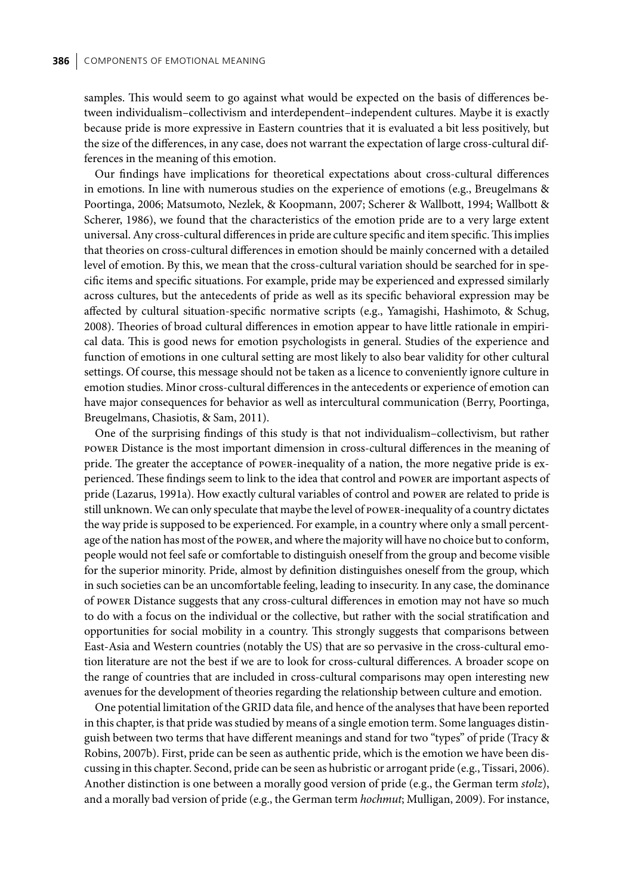samples. This would seem to go against what would be expected on the basis of differences between individualism–collectivism and interdependent–independent cultures. Maybe it is exactly because pride is more expressive in Eastern countries that it is evaluated a bit less positively, but the size of the differences, in any case, does not warrant the expectation of large cross-cultural differences in the meaning of this emotion.

Our findings have implications for theoretical expectations about cross-cultural differences in emotions. In line with numerous studies on the experience of emotions (e.g., Breugelmans & Poortinga, 2006; Matsumoto, Nezlek, & Koopmann, 2007; Scherer & Wallbott, 1994; Wallbott & Scherer, 1986), we found that the characteristics of the emotion pride are to a very large extent universal. Any cross-cultural differences in pride are culture specific and item specific. This implies that theories on cross-cultural differences in emotion should be mainly concerned with a detailed level of emotion. By this, we mean that the cross-cultural variation should be searched for in specific items and specific situations. For example, pride may be experienced and expressed similarly across cultures, but the antecedents of pride as well as its specific behavioral expression may be affected by cultural situation-specific normative scripts (e.g., Yamagishi, Hashimoto, & Schug, 2008). Theories of broad cultural differences in emotion appear to have little rationale in empirical data. This is good news for emotion psychologists in general. Studies of the experience and function of emotions in one cultural setting are most likely to also bear validity for other cultural settings. Of course, this message should not be taken as a licence to conveniently ignore culture in emotion studies. Minor cross-cultural differences in the antecedents or experience of emotion can have major consequences for behavior as well as intercultural communication (Berry, Poortinga, Breugelmans, Chasiotis, & Sam, 2011).

One of the surprising findings of this study is that not individualism-collectivism, but rather power Distance is the most important dimension in cross-cultural differences in the meaning of pride. The greater the acceptance of power-inequality of a nation, the more negative pride is experienced. These findings seem to link to the idea that control and power are important aspects of pride (Lazarus, 1991a). How exactly cultural variables of control and power are related to pride is still unknown. We can only speculate that maybe the level of power -inequality of a country dictates the way pride is supposed to be experienced. For example, in a country where only a small percentage of the nation has most of the power, and where the majority will have no choice but to conform, people would not feel safe or comfortable to distinguish oneself from the group and become visible for the superior minority. Pride, almost by definition distinguishes oneself from the group, which in such societies can be an uncomfortable feeling, leading to insecurity. In any case, the dominance of power Distance suggests that any cross-cultural differences in emotion may not have so much to do with a focus on the individual or the collective, but rather with the social stratification and opportunities for social mobility in a country. This strongly suggests that comparisons between East-Asia and Western countries (notably the US) that are so pervasive in the cross-cultural emotion literature are not the best if we are to look for cross-cultural differences. A broader scope on the range of countries that are included in cross-cultural comparisons may open interesting new avenues for the development of theories regarding the relationship between culture and emotion.

One potential limitation of the GRID data file, and hence of the analyses that have been reported in this chapter, is that pride was studied by means of a single emotion term. Some languages distinguish between two terms that have different meanings and stand for two "types" of pride (Tracy & Robins, 2007b). First, pride can be seen as authentic pride, which is the emotion we have been discussing in this chapter. Second, pride can be seen as hubristic or arrogant pride (e.g., Tissari, 2006 ). Another distinction is one between a morally good version of pride (e.g., the German term *stolz* ), and a morally bad version of pride (e.g., the German term *hochmut*; Mulligan, 2009). For instance,